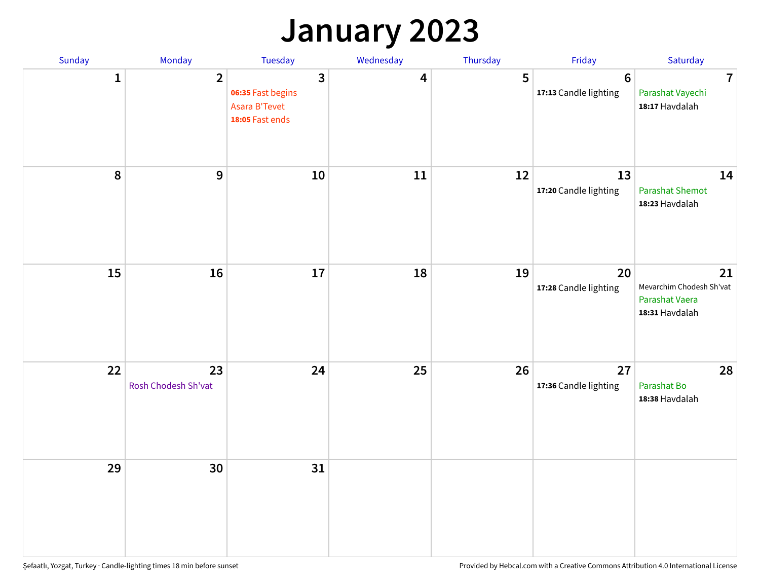### **January 2023**

| Sunday           | Monday                    | Tuesday                                                                                 | Wednesday | Thursday | Friday                                   | Saturday                                                           |
|------------------|---------------------------|-----------------------------------------------------------------------------------------|-----------|----------|------------------------------------------|--------------------------------------------------------------------|
| $\mathbf{1}$     | $\overline{2}$            | $\overline{\mathbf{3}}$<br>06:35 Fast begins<br><b>Asara B'Tevet</b><br>18:05 Fast ends | 4         | 5        | $6\phantom{1}6$<br>17:13 Candle lighting | $\overline{7}$<br>Parashat Vayechi<br>18:17 Havdalah               |
| $\boldsymbol{8}$ | $\mathbf{9}$              | 10                                                                                      | 11        | 12       | 13<br>17:20 Candle lighting              | 14<br><b>Parashat Shemot</b><br>18:23 Havdalah                     |
| 15               | 16                        | 17                                                                                      | 18        | 19       | 20<br>17:28 Candle lighting              | 21<br>Mevarchim Chodesh Sh'vat<br>Parashat Vaera<br>18:31 Havdalah |
| 22               | 23<br>Rosh Chodesh Sh'vat | 24                                                                                      | 25        | 26       | 27<br>17:36 Candle lighting              | 28<br>Parashat Bo<br>18:38 Havdalah                                |
| 29               | 30                        | 31                                                                                      |           |          |                                          |                                                                    |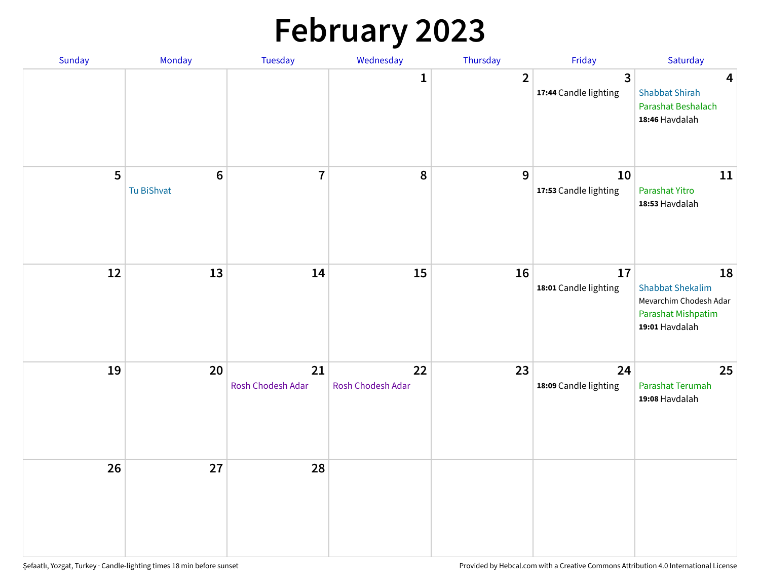# **February 2023**

| Sunday | Monday                        | Tuesday                 | Wednesday               | Thursday       | Friday                                  | Saturday                                                                                               |
|--------|-------------------------------|-------------------------|-------------------------|----------------|-----------------------------------------|--------------------------------------------------------------------------------------------------------|
|        |                               |                         | 1                       | $\overline{2}$ | $\overline{3}$<br>17:44 Candle lighting | $\overline{\mathbf{4}}$<br><b>Shabbat Shirah</b><br>Parashat Beshalach<br>18:46 Havdalah               |
| 5      | $6\phantom{1}6$<br>Tu BiShvat | $\overline{7}$          | 8                       | 9              | 10<br>17:53 Candle lighting             | 11<br>Parashat Yitro<br>18:53 Havdalah                                                                 |
| 12     | 13                            | 14                      | 15                      | 16             | 17<br>18:01 Candle lighting             | 18<br><b>Shabbat Shekalim</b><br>Mevarchim Chodesh Adar<br><b>Parashat Mishpatim</b><br>19:01 Havdalah |
| 19     | 20                            | 21<br>Rosh Chodesh Adar | 22<br>Rosh Chodesh Adar | 23             | 24<br>18:09 Candle lighting             | 25<br>Parashat Terumah<br>19:08 Havdalah                                                               |
| 26     | 27                            | 28                      |                         |                |                                         |                                                                                                        |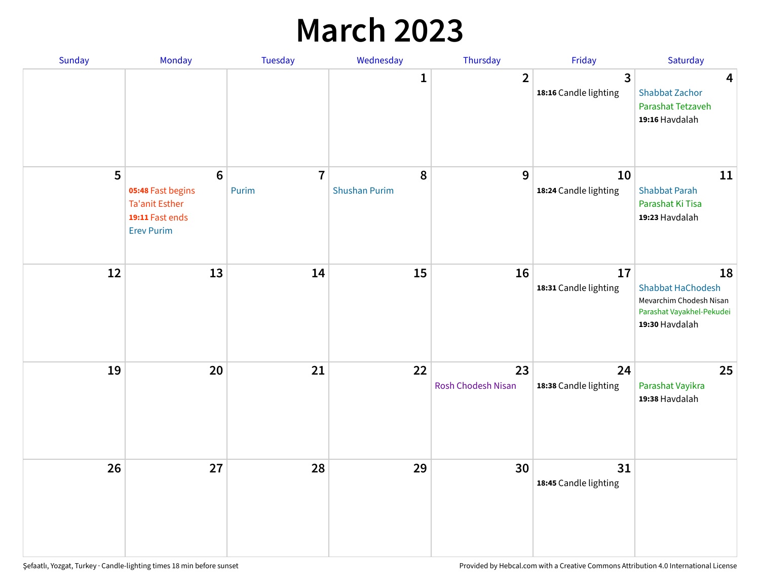## **March 2023**

| Sunday | Monday                                                                                                | Tuesday                 | Wednesday                 | Thursday                        | Friday                      | Saturday                                                                                                 |
|--------|-------------------------------------------------------------------------------------------------------|-------------------------|---------------------------|---------------------------------|-----------------------------|----------------------------------------------------------------------------------------------------------|
|        |                                                                                                       |                         | 1                         | $\overline{2}$                  | 3<br>18:16 Candle lighting  | $\overline{\mathbf{4}}$<br><b>Shabbat Zachor</b><br>Parashat Tetzaveh<br>19:16 Havdalah                  |
| 5      | $6\phantom{1}6$<br>05:48 Fast begins<br><b>Ta'anit Esther</b><br>19:11 Fast ends<br><b>Erev Purim</b> | $\overline{7}$<br>Purim | 8<br><b>Shushan Purim</b> | 9                               | 10<br>18:24 Candle lighting | 11<br><b>Shabbat Parah</b><br>Parashat Ki Tisa<br>19:23 Havdalah                                         |
| 12     | 13                                                                                                    | 14                      | 15                        | 16                              | 17<br>18:31 Candle lighting | 18<br><b>Shabbat HaChodesh</b><br>Mevarchim Chodesh Nisan<br>Parashat Vayakhel-Pekudei<br>19:30 Havdalah |
| 19     | 20                                                                                                    | 21                      | 22                        | 23<br><b>Rosh Chodesh Nisan</b> | 24<br>18:38 Candle lighting | 25<br>Parashat Vayikra<br>19:38 Havdalah                                                                 |
| 26     | 27                                                                                                    | 28                      | 29                        | 30                              | 31<br>18:45 Candle lighting |                                                                                                          |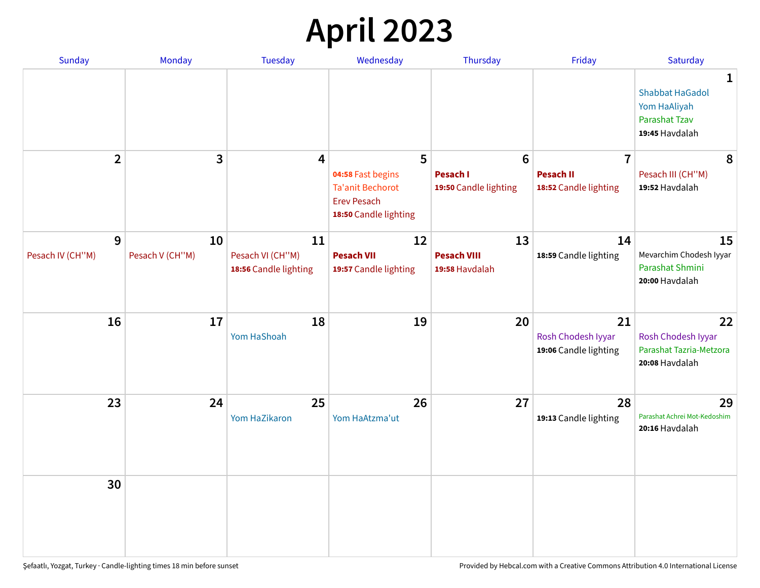# **April 2023**

| Sunday                | Monday                | <b>Tuesday</b>                                  | Wednesday                                                                                   | Thursday                                   | Friday                                            | Saturday                                                                                         |
|-----------------------|-----------------------|-------------------------------------------------|---------------------------------------------------------------------------------------------|--------------------------------------------|---------------------------------------------------|--------------------------------------------------------------------------------------------------|
|                       |                       |                                                 |                                                                                             |                                            |                                                   | $\mathbf{1}$<br><b>Shabbat HaGadol</b><br>Yom HaAliyah<br><b>Parashat Tzav</b><br>19:45 Havdalah |
| $\overline{2}$        | 3                     | 4                                               | 5                                                                                           | 6                                          | $\overline{7}$                                    | 8                                                                                                |
|                       |                       |                                                 | 04:58 Fast begins<br><b>Ta'anit Bechorot</b><br><b>Erev Pesach</b><br>18:50 Candle lighting | <b>Pesach I</b><br>19:50 Candle lighting   | <b>Pesach II</b><br>18:52 Candle lighting         | Pesach III (CH"M)<br>19:52 Havdalah                                                              |
| 9<br>Pesach IV (CH"M) | 10<br>Pesach V (CH"M) | 11<br>Pesach VI (CH"M)<br>18:56 Candle lighting | 12<br><b>Pesach VII</b><br>19:57 Candle lighting                                            | 13<br><b>Pesach VIII</b><br>19:58 Havdalah | 14<br>18:59 Candle lighting                       | 15<br>Mevarchim Chodesh Iyyar<br>Parashat Shmini<br>20:00 Havdalah                               |
| 16                    | 17                    | 18<br>Yom HaShoah                               | 19                                                                                          | 20                                         | 21<br>Rosh Chodesh Iyyar<br>19:06 Candle lighting | 22<br>Rosh Chodesh Iyyar<br>Parashat Tazria-Metzora<br>20:08 Havdalah                            |
| 23                    | 24                    | 25<br>Yom HaZikaron                             | 26<br>Yom HaAtzma'ut                                                                        | 27                                         | 28<br>19:13 Candle lighting                       | 29<br>Parashat Achrei Mot-Kedoshim<br>20:16 Havdalah                                             |
| 30                    |                       |                                                 |                                                                                             |                                            |                                                   |                                                                                                  |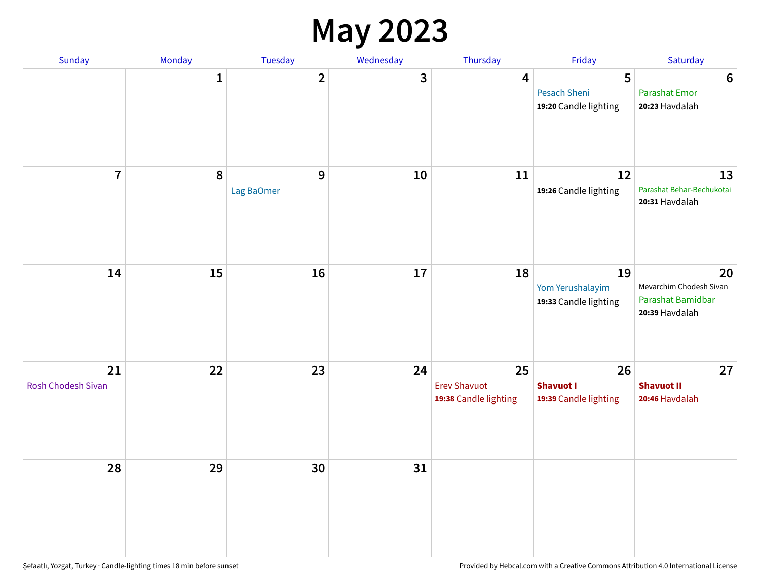#### **May 2023**

| Sunday                          | Monday       | Tuesday                 | Wednesday | Thursday                                           | Friday                                          | Saturday                                                             |
|---------------------------------|--------------|-------------------------|-----------|----------------------------------------------------|-------------------------------------------------|----------------------------------------------------------------------|
|                                 | $\mathbf{1}$ | $\overline{\mathbf{2}}$ | 3         | $\overline{\mathbf{4}}$                            | 5<br>Pesach Sheni<br>19:20 Candle lighting      | $\bf 6$<br><b>Parashat Emor</b><br>20:23 Havdalah                    |
| $\overline{7}$                  | $\pmb{8}$    | $9$<br>Lag BaOmer       | 10        | 11                                                 | 12<br>19:26 Candle lighting                     | 13<br>Parashat Behar-Bechukotai<br>20:31 Havdalah                    |
| 14                              | 15           | 16                      | 17        | 18                                                 | 19<br>Yom Yerushalayim<br>19:33 Candle lighting | 20<br>Mevarchim Chodesh Sivan<br>Parashat Bamidbar<br>20:39 Havdalah |
| 21<br><b>Rosh Chodesh Sivan</b> | 22           | 23                      | 24        | 25<br><b>Erev Shavuot</b><br>19:38 Candle lighting | 26<br><b>Shavuot I</b><br>19:39 Candle lighting | 27<br><b>Shavuot II</b><br>20:46 Havdalah                            |
| 28                              | 29           | 30                      | 31        |                                                    |                                                 |                                                                      |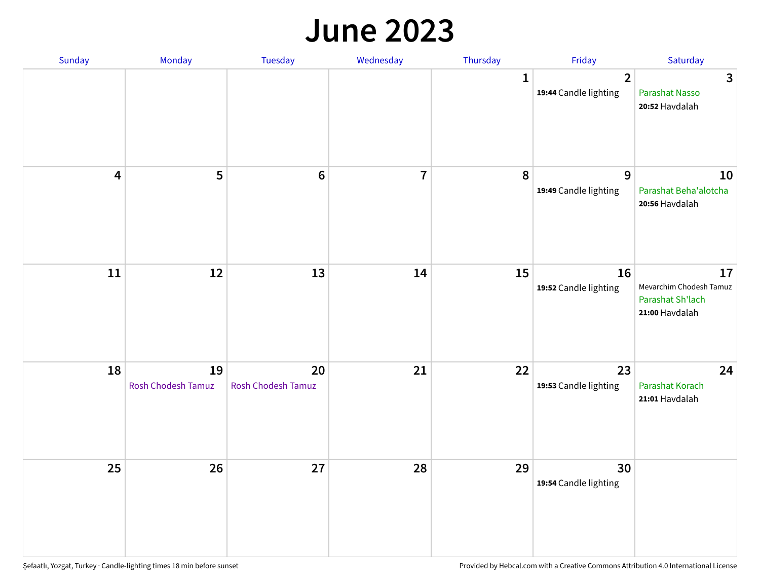#### **June 2023**

| Sunday                  | Monday                   | Tuesday                         | Wednesday      | Thursday     | Friday                                  | Saturday                                                            |
|-------------------------|--------------------------|---------------------------------|----------------|--------------|-----------------------------------------|---------------------------------------------------------------------|
|                         |                          |                                 |                | $\mathbf{1}$ | $\overline{2}$<br>19:44 Candle lighting | $\mathbf{3}$<br>Parashat Nasso<br>20:52 Havdalah                    |
| $\overline{\mathbf{4}}$ | 5                        | $\bf 6$                         | $\overline{7}$ | 8            | 9<br>19:49 Candle lighting              | 10<br>Parashat Beha'alotcha<br>20:56 Havdalah                       |
| $11\,$                  | 12                       | 13                              | 14             | 15           | 16<br>19:52 Candle lighting             | 17<br>Mevarchim Chodesh Tamuz<br>Parashat Sh'lach<br>21:00 Havdalah |
| 18                      | 19<br>Rosh Chodesh Tamuz | 20<br><b>Rosh Chodesh Tamuz</b> | 21             | 22           | 23<br>19:53 Candle lighting             | 24<br>Parashat Korach<br>21:01 Havdalah                             |
| 25                      | 26                       | 27                              | 28             | 29           | 30<br>19:54 Candle lighting             |                                                                     |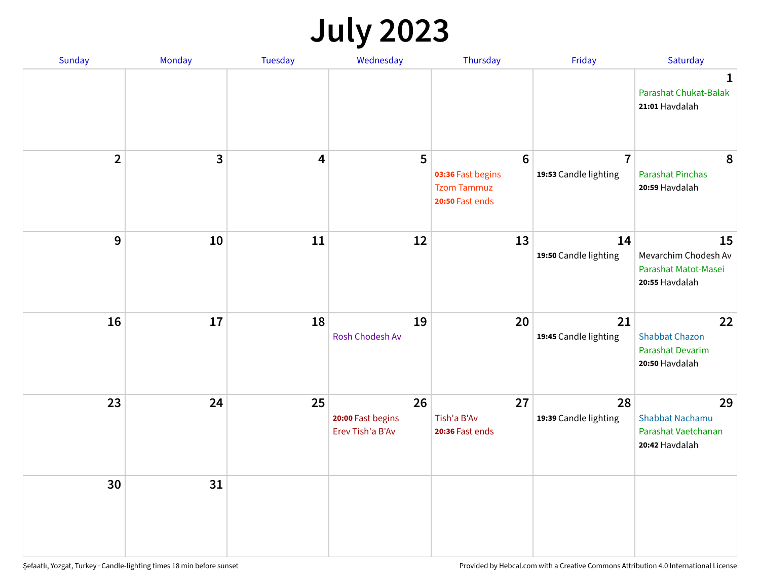## **July 2023**

| Sunday         | Monday       | <b>Tuesday</b>          | Wednesday                                   | Thursday                                                                      | Friday                                  | Saturday                                                              |
|----------------|--------------|-------------------------|---------------------------------------------|-------------------------------------------------------------------------------|-----------------------------------------|-----------------------------------------------------------------------|
|                |              |                         |                                             |                                                                               |                                         | $\mathbf 1$<br>Parashat Chukat-Balak<br>21:01 Havdalah                |
| $\overline{2}$ | $\mathbf{3}$ | $\overline{\mathbf{4}}$ | 5                                           | $6\phantom{1}6$<br>03:36 Fast begins<br><b>Tzom Tammuz</b><br>20:50 Fast ends | $\overline{7}$<br>19:53 Candle lighting | 8<br><b>Parashat Pinchas</b><br>20:59 Havdalah                        |
| 9              | 10           | 11                      | 12                                          | 13                                                                            | 14<br>19:50 Candle lighting             | 15<br>Mevarchim Chodesh Av<br>Parashat Matot-Masei<br>20:55 Havdalah  |
| 16             | 17           | 18                      | 19<br>Rosh Chodesh Av                       | 20                                                                            | 21<br>19:45 Candle lighting             | 22<br><b>Shabbat Chazon</b><br>Parashat Devarim<br>20:50 Havdalah     |
| 23             | 24           | 25                      | 26<br>20:00 Fast begins<br>Erev Tish'a B'Av | 27<br>Tish'a B'Av<br>20:36 Fast ends                                          | 28<br>19:39 Candle lighting             | 29<br><b>Shabbat Nachamu</b><br>Parashat Vaetchanan<br>20:42 Havdalah |
| 30             | 31           |                         |                                             |                                                                               |                                         |                                                                       |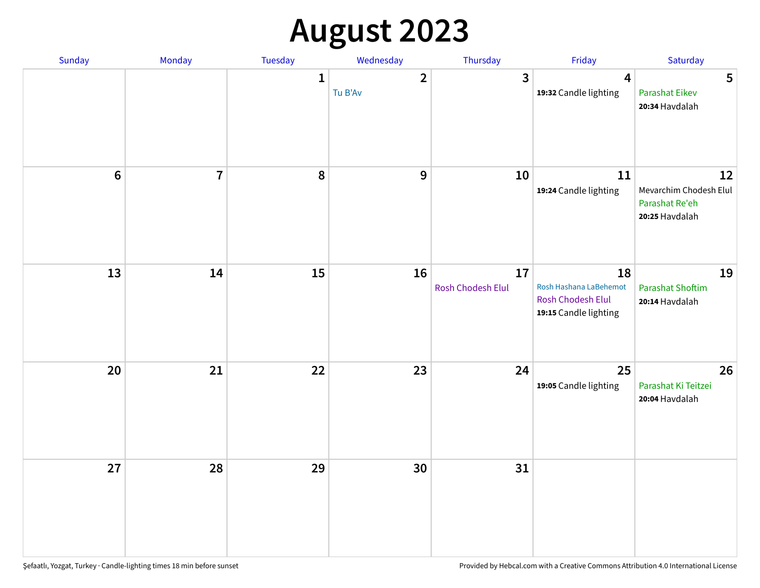# **August 2023**

| Sunday | Monday                  | Tuesday      | Wednesday               | Thursday                | Friday                                                                     | Saturday                                                         |
|--------|-------------------------|--------------|-------------------------|-------------------------|----------------------------------------------------------------------------|------------------------------------------------------------------|
|        |                         | $\mathbf{1}$ | $\mathbf{2}$<br>Tu B'Av | 3                       | $\overline{\mathbf{4}}$<br>19:32 Candle lighting                           | 5<br><b>Parashat Eikev</b><br>20:34 Havdalah                     |
| $6\,$  | $\overline{\mathbf{I}}$ | 8            | 9                       | 10                      | 11<br>19:24 Candle lighting                                                | 12<br>Mevarchim Chodesh Elul<br>Parashat Re'eh<br>20:25 Havdalah |
| 13     | 14                      | 15           | 16                      | 17<br>Rosh Chodesh Elul | 18<br>Rosh Hashana LaBehemot<br>Rosh Chodesh Elul<br>19:15 Candle lighting | 19<br><b>Parashat Shoftim</b><br>20:14 Havdalah                  |
| 20     | 21                      | 22           | 23                      | 24                      | 25<br>19:05 Candle lighting                                                | 26<br>Parashat Ki Teitzei<br>20:04 Havdalah                      |
| 27     | 28                      | 29           | 30                      | 31                      |                                                                            |                                                                  |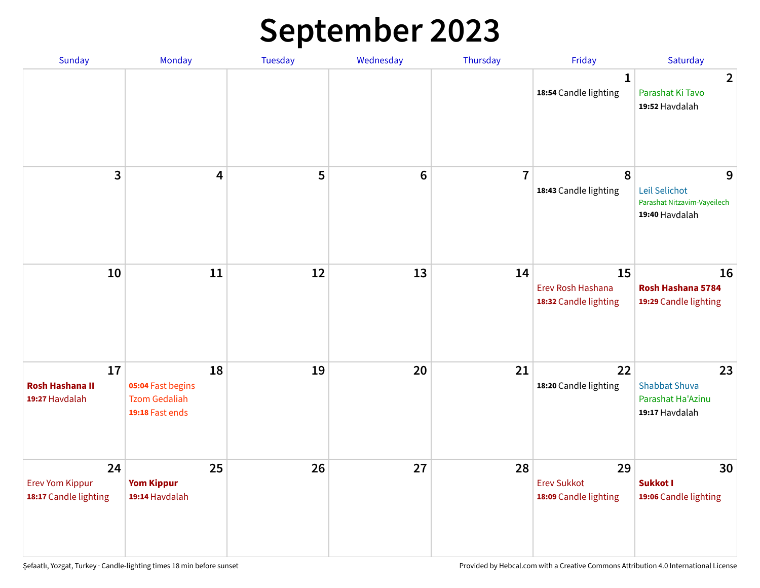# **September 2023**

| Sunday                                                | Monday                                                             | <b>Tuesday</b> | Wednesday       | Thursday       | Friday                                            | Saturday                                                            |
|-------------------------------------------------------|--------------------------------------------------------------------|----------------|-----------------|----------------|---------------------------------------------------|---------------------------------------------------------------------|
|                                                       |                                                                    |                |                 |                | 1<br>18:54 Candle lighting                        | $\overline{2}$<br>Parashat Ki Tavo<br>19:52 Havdalah                |
| 3                                                     | $\overline{\mathbf{4}}$                                            | 5              | $6\phantom{1}6$ | $\overline{7}$ | 8<br>18:43 Candle lighting                        | 9<br>Leil Selichot<br>Parashat Nitzavim-Vayeilech<br>19:40 Havdalah |
| 10                                                    | 11                                                                 | 12             | 13              | 14             | 15<br>Erev Rosh Hashana<br>18:32 Candle lighting  | 16<br>Rosh Hashana 5784<br>19:29 Candle lighting                    |
| 17<br><b>Rosh Hashana II</b><br>19:27 Havdalah        | 18<br>05:04 Fast begins<br><b>Tzom Gedaliah</b><br>19:18 Fast ends | 19             | 20              | 21             | 22<br>18:20 Candle lighting                       | 23<br><b>Shabbat Shuva</b><br>Parashat Ha'Azinu<br>19:17 Havdalah   |
| 24<br><b>Erev Yom Kippur</b><br>18:17 Candle lighting | 25<br><b>Yom Kippur</b><br>19:14 Havdalah                          | 26             | 27              | 28             | 29<br><b>Erev Sukkot</b><br>18:09 Candle lighting | 30<br>Sukkot I<br>19:06 Candle lighting                             |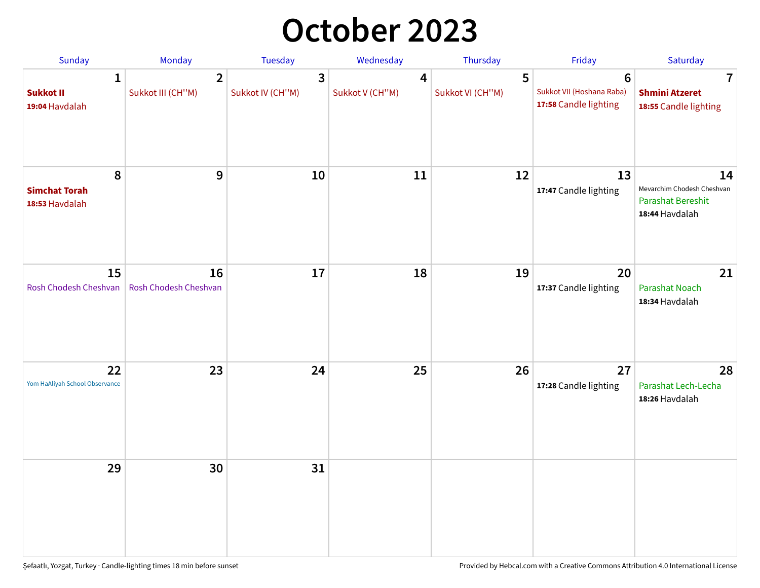## **October 2023**

| Sunday                                             | Monday                              | <b>Tuesday</b>        | Wednesday                         | Thursday              | Friday                                                               | Saturday                                                                       |
|----------------------------------------------------|-------------------------------------|-----------------------|-----------------------------------|-----------------------|----------------------------------------------------------------------|--------------------------------------------------------------------------------|
| $\mathbf{1}$<br><b>Sukkot II</b><br>19:04 Havdalah | $\overline{2}$<br>Sukkot III (CH"M) | 3<br>Sukkot IV (CH"M) | $\overline{4}$<br>Sukkot V (CH"M) | 5<br>Sukkot VI (CH"M) | $6\phantom{1}$<br>Sukkot VII (Hoshana Raba)<br>17:58 Candle lighting | $\overline{\mathbf{7}}$<br><b>Shmini Atzeret</b><br>18:55 Candle lighting      |
| 8<br><b>Simchat Torah</b><br>18:53 Havdalah        | 9                                   | 10                    | 11                                | 12                    | 13<br>17:47 Candle lighting                                          | 14<br>Mevarchim Chodesh Cheshvan<br><b>Parashat Bereshit</b><br>18:44 Havdalah |
| 15<br>Rosh Chodesh Cheshvan                        | 16<br>Rosh Chodesh Cheshvan         | 17                    | 18                                | 19                    | 20<br>17:37 Candle lighting                                          | 21<br>Parashat Noach<br>18:34 Havdalah                                         |
| 22<br>Yom HaAliyah School Observance               | 23                                  | 24                    | 25                                | 26                    | 27<br>17:28 Candle lighting                                          | 28<br>Parashat Lech-Lecha<br>18:26 Havdalah                                    |
| 29                                                 | 30                                  | 31                    |                                   |                       |                                                                      |                                                                                |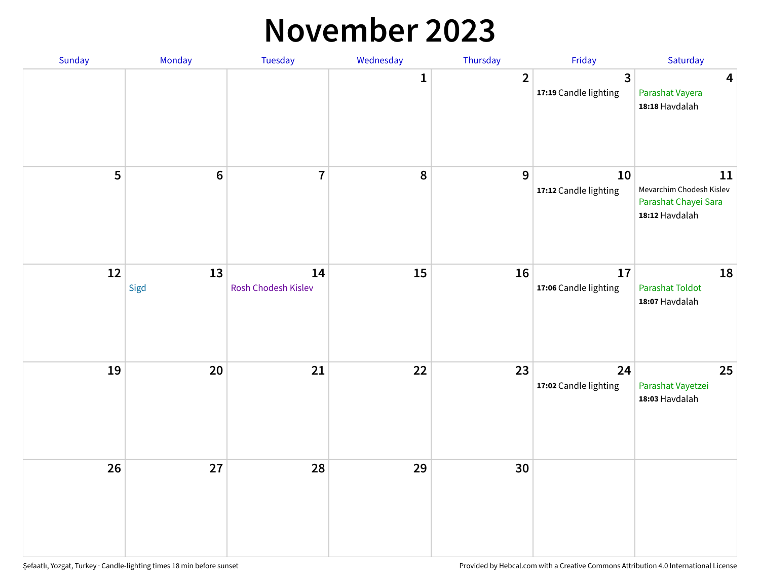#### **November 2023**

| Sunday | Monday         | Tuesday                   | Wednesday    | Thursday         | Friday                      | Saturday                                                                 |
|--------|----------------|---------------------------|--------------|------------------|-----------------------------|--------------------------------------------------------------------------|
|        |                |                           | $\mathbf{1}$ | $\overline{2}$   | 3<br>17:19 Candle lighting  | $\overline{\mathbf{4}}$<br>Parashat Vayera<br>18:18 Havdalah             |
| 5      | $6\phantom{a}$ | $\overline{7}$            | ${\bf 8}$    | $\boldsymbol{9}$ | 10<br>17:12 Candle lighting | 11<br>Mevarchim Chodesh Kislev<br>Parashat Chayei Sara<br>18:12 Havdalah |
| 12     | 13<br>Sigd     | 14<br>Rosh Chodesh Kislev | 15           | 16               | 17<br>17:06 Candle lighting | 18<br><b>Parashat Toldot</b><br>18:07 Havdalah                           |
| 19     | 20             | 21                        | 22           | 23               | 24<br>17:02 Candle lighting | 25<br>Parashat Vayetzei<br>18:03 Havdalah                                |
| 26     | 27             | 28                        | 29           | 30               |                             |                                                                          |